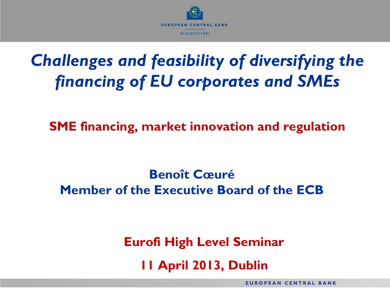

# *Challenges and feasibility of diversifying the financing of EU corporates and SMEs*

**SME financing, market innovation and regulation**

**Benoît Cœuré Member of the Executive Board of the ECB**

> **Eurofi High Level Seminar 11 April 2013, Dublin**

> > **EUROPEAN CENTRAL BANK**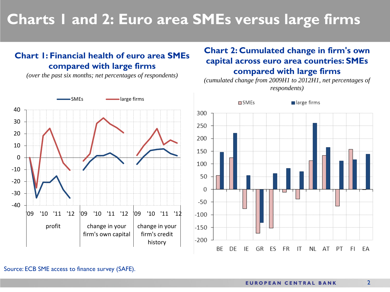### **Charts 1 and 2: Euro area SMEs versus large firms**

#### **Chart 1: Financial health of euro area SMEs compared with large firms**

*(over the past six months; net percentages of respondents)*



### **Chart 2: Cumulated change in firm's own capital across euro area countries: SMEs compared with large firms**

*(cumulated change from 2009H1 to 2012H1, net percentages of respondents)*



Source: ECB SME access to finance survey (SAFE).

2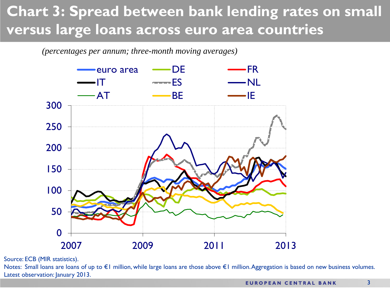### **Chart 3: Spread between bank lending rates on small versus large loans across euro area countries**

#### *(percentages per annum; three-month moving averages)*



Source: ECB (MIR statistics).

Notes: Small loans are loans of up to €1 million, while large loans are those above €1 million. Aggregation is based on new business volumes. Latest observation: January 2013.

3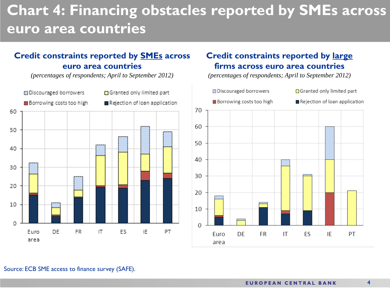### **Chart 4: Financing obstacles reported by SMEs across euro area countries**

#### **Credit constraints reported by SMEs across euro area countries**

*(percentages of respondents; April to September 2012)*



#### **Credit constraints reported by large firms across euro area countries**

*(percentages of respondents; April to September 2012)*

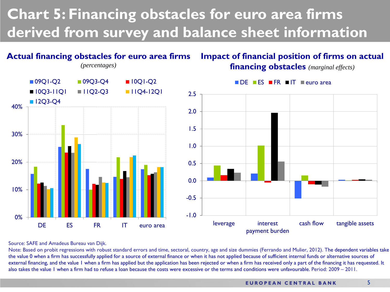### **Chart 5: Financing obstacles for euro area firms derived from survey and balance sheet information**



#### Source: SAFE and Amadeus Bureau van Dijk.

Note: Based on probit regressions with robust standard errors and time, sectoral, country, age and size dummies (Ferrando and Mulier, 2012). The dependent variables take the value 0 when a firm has successfully applied for a source of external finance or when it has not applied because of sufficient internal funds or alternative sources of external financing, and the value 1 when a firm has applied but the application has been rejected or when a firm has received only a part of the financing it has requested. It also takes the value 1 when a firm had to refuse a loan because the costs were excessive or the terms and conditions were unfavourable. Period: 2009 – 2011.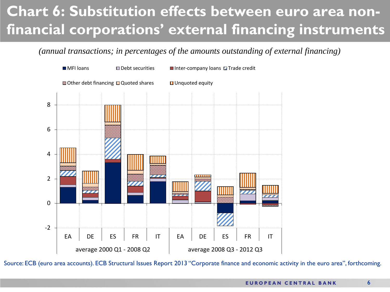### **Chart 6: Substitution effects between euro area nonfinancial corporations' external financing instruments**

*(annual transactions; in percentages of the amounts outstanding of external financing)*



Source: ECB (euro area accounts). ECB Structural Issues Report 2013 "Corporate finance and economic activity in the euro area", forthcoming.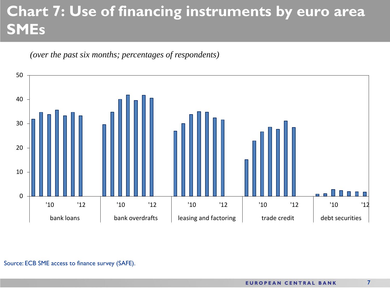## **Chart 7: Use of financing instruments by euro area SMEs**



*(over the past six months; percentages of respondents)*

Source: ECB SME access to finance survey (SAFE).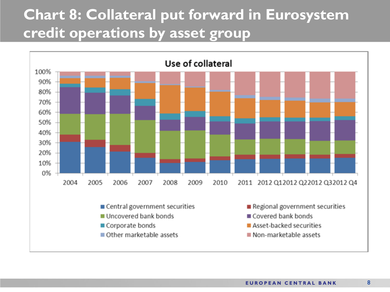### **Chart 8: Collateral put forward in Eurosystem credit operations by asset group**